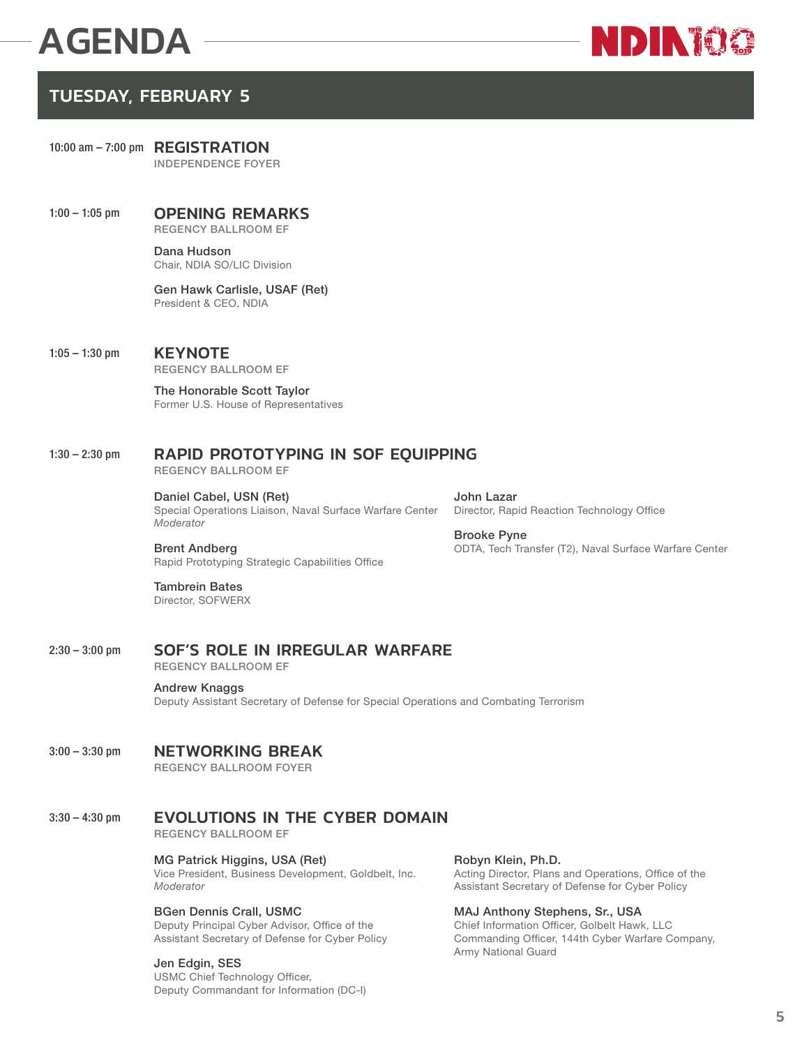# AGENDA



# TUESDAY, FEBRUARY 5

 10:00 am – 7:00 pm REGISTRATION **INDEPENDENCE FOYER** 

1:00 – 1:05 pm **OPENING REMARKS REGENCY BALLROOM EF**

> **Dana Hudson** Chair, NDIA SO/LIC Division

**Gen Hawk Carlisle, USAF (Ret)** President & CEO, NDIA

## 1:05 – 1:30 pm KEYNOTE

**REGENCY BALLROOM EF**

**The Honorable Scott Taylor**  Former U.S. House of Representatives

# 1:30 – 2:30 pm RAPID PROTOTYPING IN SOF EQUIPPING

**REGENCY BALLROOM EF**

**Daniel Cabel, USN (Ret)** Special Operations Liaison, Naval Surface Warfare Center *Moderator*

**John Lazar** Director, Rapid Reaction Technology Office

**Brooke Pyne** ODTA, Tech Transfer (T2), Naval Surface Warfare Center

**Brent Andberg** Rapid Prototyping Strategic Capabilities Office

#### **Tambrein Bates** Director, SOFWERX

# 2:30 – 3:00 pm SOF'S ROLE IN IRREGULAR WARFARE

**REGENCY BALLROOM EF**

#### **Andrew Knaggs**

Deputy Assistant Secretary of Defense for Special Operations and Combating Terrorism

## 3:00 - 3:30 pm NETWORKING BREAK

**REGENCY BALLROOM FOYER**

# 3:30 – 4:30 pm **EVOLUTIONS IN THE CYBER DOMAIN**

**REGENCY BALLROOM EF**

## **MG Patrick Higgins, USA (Ret)**

Vice President, Business Development, Goldbelt, Inc. *Moderator*

## **BGen Dennis Crall, USMC**

Deputy Principal Cyber Advisor, Office of the Assistant Secretary of Defense for Cyber Policy

## **Jen Edgin, SES**

USMC Chief Technology Officer, Deputy Commandant for Information (DC-I)

## **Robyn Klein, Ph.D.**

Acting Director, Plans and Operations, Office of the Assistant Secretary of Defense for Cyber Policy

**MAJ Anthony Stephens, Sr., USA**

Chief Information Officer, Golbelt Hawk, LLC Commanding Officer, 144th Cyber Warfare Company, Army National Guard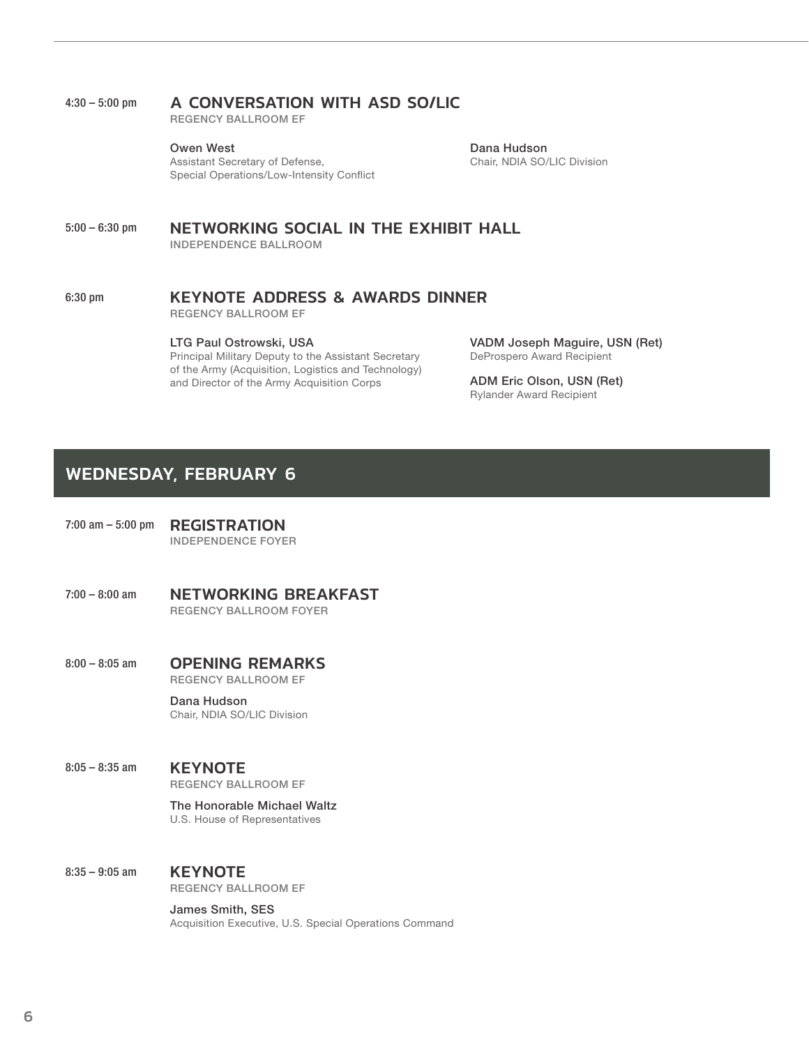## 4:30 – 5:00 pm A CONVERSATION WITH ASD SO/LIC

**REGENCY BALLROOM EF**

**Owen West** Assistant Secretary of Defense, Special Operations/Low-Intensity Conflict

**Dana Hudson** Chair, NDIA SO/LIC Division

#### 5:00 – 6:30 pm NETWORKING SOCIAL IN THE EXHIBIT HALL **INDEPENDENCE BALLROOM**

## 6:30 pm KEYNOTE ADDRESS & AWARDS DINNER

**REGENCY BALLROOM EF**

#### **LTG Paul Ostrowski, USA**

Principal Military Deputy to the Assistant Secretary of the Army (Acquisition, Logistics and Technology) and Director of the Army Acquisition Corps

**VADM Joseph Maguire, USN (Ret)** DeProspero Award Recipient

**ADM Eric Olson, USN (Ret)** Rylander Award Recipient

# WEDNESDAY, FEBRUARY 6

- 7:00 am 5:00 pm **REGISTRATION INDEPENDENCE FOYER**
- 7:00 8:00 am NETWORKING BREAKFAST **REGENCY BALLROOM FOYER**
- 8:00 8:05 am OPENING REMARKS **REGENCY BALLROOM EF**

**Dana Hudson** Chair, NDIA SO/LIC Division

#### 8:05 – 8:35 am **KEYNOTE**

**REGENCY BALLROOM EF**

**The Honorable Michael Waltz** U.S. House of Representatives

#### 8:35 – 9:05 am **KEYNOTE**

**REGENCY BALLROOM EF**

**James Smith, SES** Acquisition Executive, U.S. Special Operations Command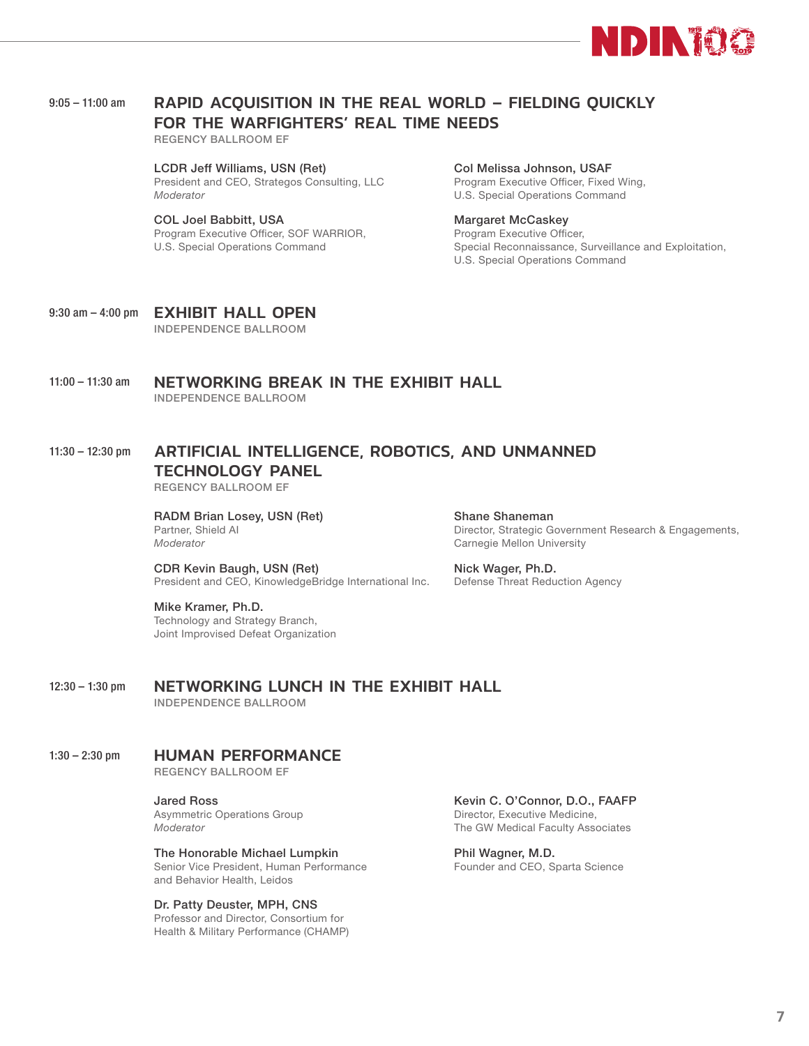

## 9:05 - 11:00 am RAPID ACQUISITION IN THE REAL WORLD - FIELDING QUICKLY FOR THE WARFIGHTERS' REAL TIME NEEDS

**REGENCY BALLROOM EF**

**LCDR Jeff Williams, USN (Ret)** President and CEO, Strategos Consulting, LLC *Moderator*

**COL Joel Babbitt, USA** Program Executive Officer, SOF WARRIOR, U.S. Special Operations Command

# **Col Melissa Johnson, USAF**

Program Executive Officer, Fixed Wing, U.S. Special Operations Command

#### **Margaret McCaskey**

Program Executive Officer, Special Reconnaissance, Surveillance and Exploitation, U.S. Special Operations Command

9:30 am - 4:00 pm **EXHIBIT HALL OPEN INDEPENDENCE BALLROOM**

11:00 – 11:30 am NETWORKING BREAK IN THE EXHIBIT HALL **INDEPENDENCE BALLROOM**

# 11:30 – 12:30 pm ARTIFICIAL INTELLIGENCE, ROBOTICS, AND UNMANNED TECHNOLOGY PANEL

**REGENCY BALLROOM EF**

**RADM Brian Losey, USN (Ret)** Partner, Shield AI *Moderator*

**Shane Shaneman** Director, Strategic Government Research & Engagements, Carnegie Mellon University

**CDR Kevin Baugh, USN (Ret)** President and CEO, KinowledgeBridge International Inc. **Nick Wager, Ph.D.**  Defense Threat Reduction Agency

**Mike Kramer, Ph.D.** Technology and Strategy Branch, Joint Improvised Defeat Organization

#### 12:30 – 1:30 pm NETWORKING LUNCH IN THE EXHIBIT HALL **INDEPENDENCE BALLROOM**

## 1:30 – 2:30 pm HUMAN PERFORMANCE

**REGENCY BALLROOM EF**

**Jared Ross** Asymmetric Operations Group *Moderator*

**The Honorable Michael Lumpkin** Senior Vice President, Human Performance and Behavior Health, Leidos

#### **Dr. Patty Deuster, MPH, CNS**

Professor and Director, Consortium for Health & Military Performance (CHAMP)

**Kevin C. O'Connor, D.O., FAAFP**  Director, Executive Medicine, The GW Medical Faculty Associates

**Phil Wagner, M.D.** Founder and CEO, Sparta Science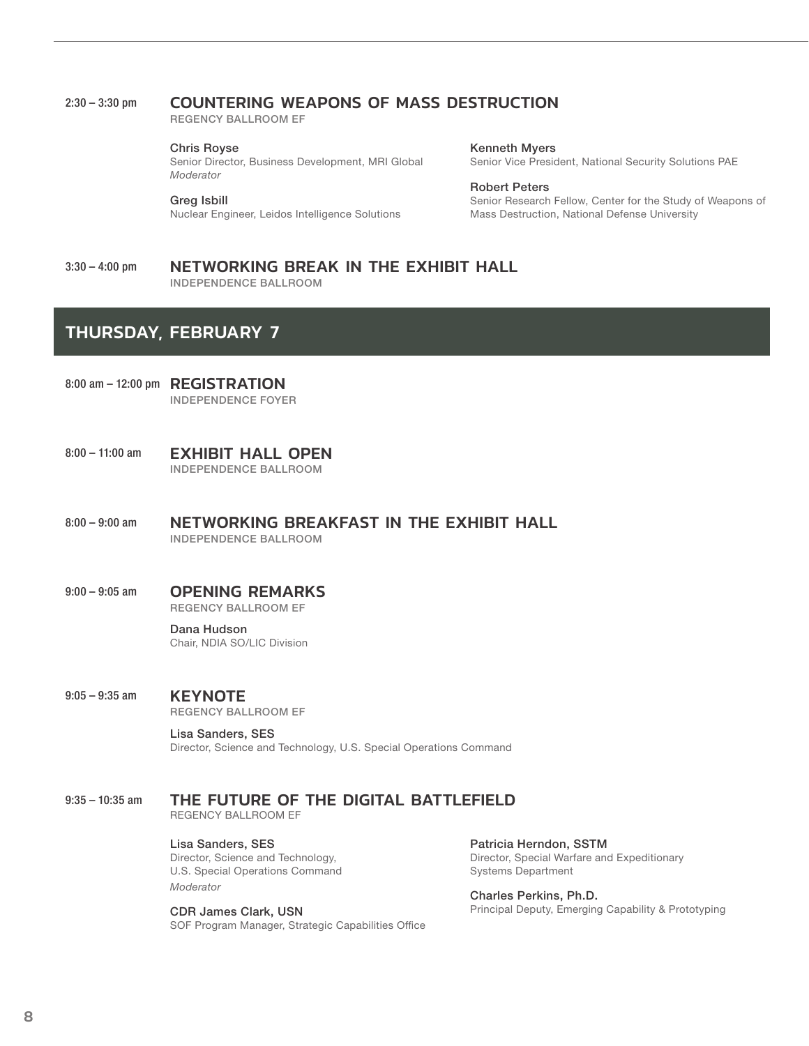## 2:30 – 3:30 pm COUNTERING WEAPONS OF MASS DESTRUCTION

**REGENCY BALLROOM EF**

#### **Chris Royse**

Senior Director, Business Development, MRI Global *Moderator*

#### **Greg Isbill**

Nuclear Engineer, Leidos Intelligence Solutions

**Kenneth Myers** Senior Vice President, National Security Solutions PAE

#### **Robert Peters**

Senior Research Fellow, Center for the Study of Weapons of Mass Destruction, National Defense University

#### 3:30 - 4:00 pm NETWORKING BREAK IN THE EXHIBIT HALL **INDEPENDENCE BALLROOM**

# THURSDAY, FEBRUARY 7

- 8:00 am 12:00 pm **REGISTRATION INDEPENDENCE FOYER**
- 8:00 11:00 am **EXHIBIT HALL OPEN INDEPENDENCE BALLROOM**
- 8:00 9:00 am METWORKING BREAKFAST IN THE EXHIBIT HALL **INDEPENDENCE BALLROOM**
- 9:00 9:05 am **OPENING REMARKS REGENCY BALLROOM EF**

**Dana Hudson** Chair, NDIA SO/LIC Division

9:05 – 9:35 am **KEYNOTE** 

**REGENCY BALLROOM EF**

**Lisa Sanders, SES**  Director, Science and Technology, U.S. Special Operations Command

# 9:35 – 10:35 am THE FUTURE OF THE DIGITAL BATTLEFIELD

REGENCY BALLROOM EF

**Lisa Sanders, SES**  Director, Science and Technology, U.S. Special Operations Command *Moderator*

**CDR James Clark, USN** SOF Program Manager, Strategic Capabilities Office

**Patricia Herndon, SSTM**  Director, Special Warfare and Expeditionary Systems Department

**Charles Perkins, Ph.D.** Principal Deputy, Emerging Capability & Prototyping